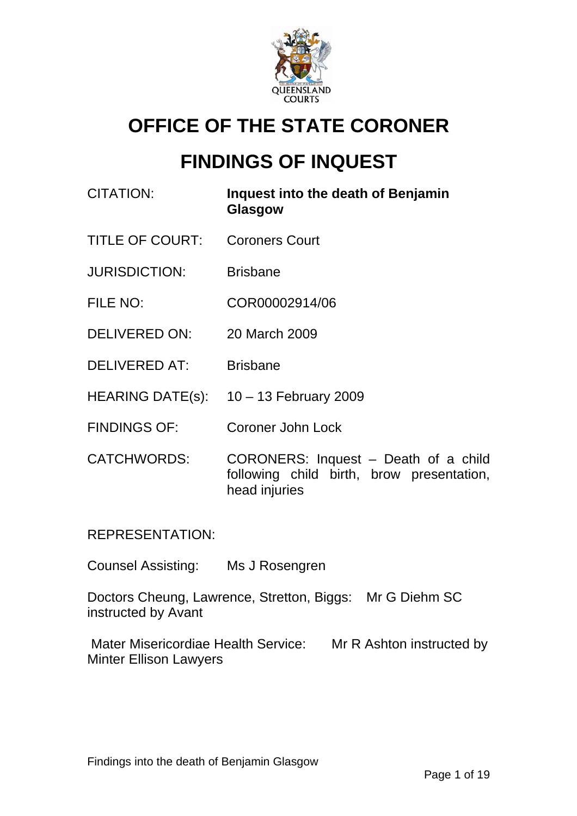

# **OFFICE OF THE STATE CORONER**

# **FINDINGS OF INQUEST**

CITATION: **Inquest into the death of Benjamin Glasgow**  TITLE OF COURT: Coroners Court JURISDICTION: Brisbane FILE NO: COR00002914/06 DELIVERED ON: 20 March 2009 DELIVERED AT: Brisbane HEARING DATE(s): 10 - 13 February 2009 FINDINGS OF: Coroner John Lock CATCHWORDS: CORONERS: Inquest – Death of a child following child birth, brow presentation, head injuries

REPRESENTATION:

Counsel Assisting: Ms J Rosengren

Doctors Cheung, Lawrence, Stretton, Biggs: Mr G Diehm SC instructed by Avant

Mater Misericordiae Health Service: Mr R Ashton instructed by Minter Ellison Lawyers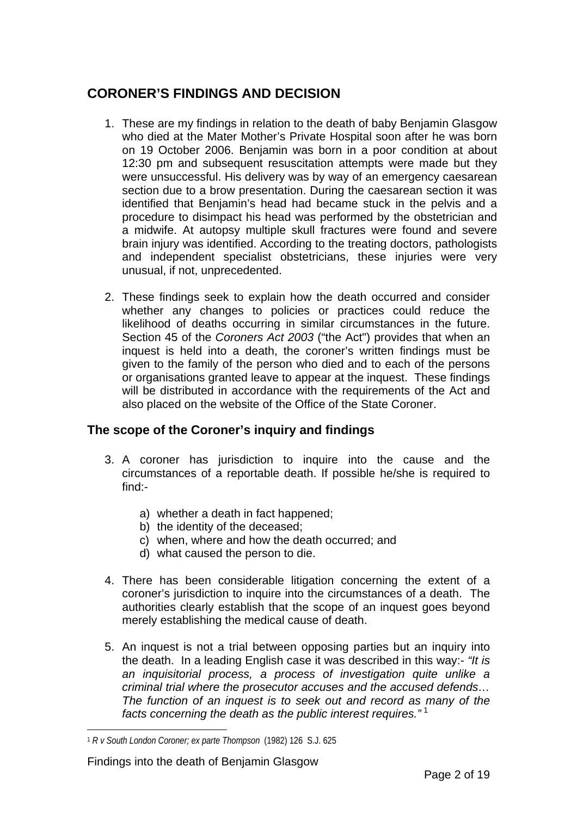## **CORONER'S FINDINGS AND DECISION**

- 1. These are my findings in relation to the death of baby Benjamin Glasgow who died at the Mater Mother's Private Hospital soon after he was born on 19 October 2006. Benjamin was born in a poor condition at about 12:30 pm and subsequent resuscitation attempts were made but they were unsuccessful. His delivery was by way of an emergency caesarean section due to a brow presentation. During the caesarean section it was identified that Benjamin's head had became stuck in the pelvis and a procedure to disimpact his head was performed by the obstetrician and a midwife. At autopsy multiple skull fractures were found and severe brain injury was identified. According to the treating doctors, pathologists and independent specialist obstetricians, these injuries were very unusual, if not, unprecedented.
- 2. These findings seek to explain how the death occurred and consider whether any changes to policies or practices could reduce the likelihood of deaths occurring in similar circumstances in the future. Section 45 of the *Coroners Act 2003* ("the Act") provides that when an inquest is held into a death, the coroner's written findings must be given to the family of the person who died and to each of the persons or organisations granted leave to appear at the inquest. These findings will be distributed in accordance with the requirements of the Act and also placed on the website of the Office of the State Coroner.

### **The scope of the Coroner's inquiry and findings**

- 3. A coroner has jurisdiction to inquire into the cause and the circumstances of a reportable death. If possible he/she is required to find:
	- a) whether a death in fact happened;
	- b) the identity of the deceased;
	- c) when, where and how the death occurred; and
	- d) what caused the person to die.
- 4. There has been considerable litigation concerning the extent of a coroner's jurisdiction to inquire into the circumstances of a death. The authorities clearly establish that the scope of an inquest goes beyond merely establishing the medical cause of death.
- 5. An inquest is not a trial between opposing parties but an inquiry into the death. In a leading English case it was described in this way:- *"It is an inquisitorial process, a process of investigation quite unlike a criminal trial where the prosecutor accuses and the accused defends… The function of an inquest is to seek out and record as many of the facts concerning the death as the public interest requires."* [1](#page-1-0)

<span id="page-1-0"></span> $\overline{a}$ <sup>1</sup> *R v South London Coroner; ex parte Thompson* (1982) 126 S.J. 625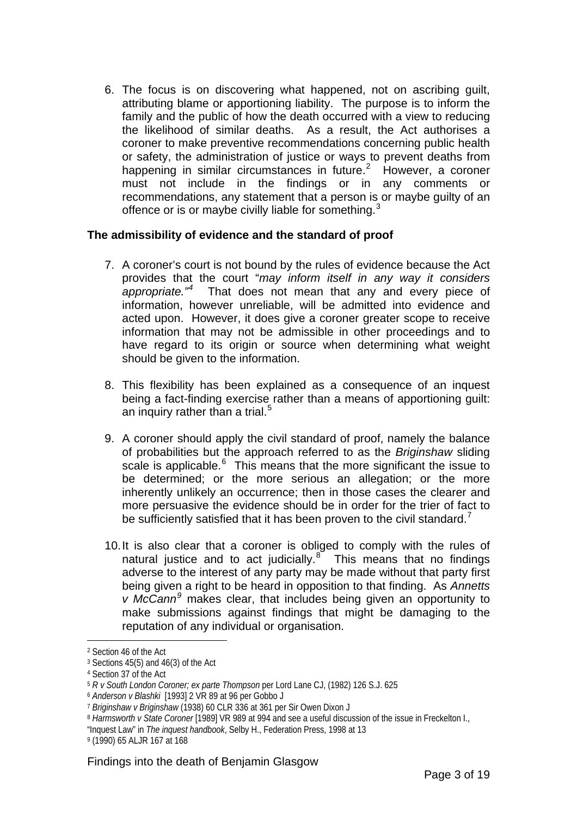6. The focus is on discovering what happened, not on ascribing guilt, attributing blame or apportioning liability. The purpose is to inform the family and the public of how the death occurred with a view to reducing the likelihood of similar deaths. As a result, the Act authorises a coroner to make preventive recommendations concerning public health or safety, the administration of justice or ways to prevent deaths from happening in similar circumstances in future.<sup>[2](#page-2-0)</sup> However, a coroner must not include in the findings or in any comments or recommendations, any statement that a person is or maybe guilty of an offence or is or maybe civilly liable for something. $3$ 

#### **The admissibility of evidence and the standard of proof**

- 7. A coroner's court is not bound by the rules of evidence because the Act provides that the court "*may inform itself in any way it considers appropriate."[4](#page-2-2)* That does not mean that any and every piece of information, however unreliable, will be admitted into evidence and acted upon. However, it does give a coroner greater scope to receive information that may not be admissible in other proceedings and to have regard to its origin or source when determining what weight should be given to the information.
- 8. This flexibility has been explained as a consequence of an inquest being a fact-finding exercise rather than a means of apportioning guilt: an inquiry rather than a trial.<sup>[5](#page-2-3)</sup>
- 9. A coroner should apply the civil standard of proof, namely the balance of probabilities but the approach referred to as the *Briginshaw* sliding scale is applicable.<sup>[6](#page-2-4)</sup> This means that the more significant the issue to be determined; or the more serious an allegation; or the more inherently unlikely an occurrence; then in those cases the clearer and more persuasive the evidence should be in order for the trier of fact to be sufficiently satisfied that it has been proven to the civil standard.<sup>[7](#page-2-5)</sup>
- 10. It is also clear that a coroner is obliged to comply with the rules of natural justice and to act judicially. $8^{\circ}$  $8^{\circ}$  This means that no findings adverse to the interest of any party may be made without that party first being given a right to be heard in opposition to that finding. As *Annetts v McCann[9](#page-2-7)* makes clear, that includes being given an opportunity to make submissions against findings that might be damaging to the reputation of any individual or organisation.

<span id="page-2-0"></span><sup>2</sup> Section 46 of the Act

<span id="page-2-1"></span><sup>3</sup> Sections 45(5) and 46(3) of the Act

<span id="page-2-2"></span><sup>4</sup> Section 37 of the Act

<span id="page-2-3"></span><sup>5</sup> *R v South London Coroner; ex parte Thompson* per Lord Lane CJ, (1982) 126 S.J. 625

<span id="page-2-4"></span><sup>6</sup> *Anderson v Blashki* [1993] 2 VR 89 at 96 per Gobbo J

<span id="page-2-5"></span><sup>7</sup> *Briginshaw v Briginshaw* (1938) 60 CLR 336 at 361 per Sir Owen Dixon J

<span id="page-2-6"></span><sup>8</sup> *Harmsworth v State Coroner* [1989] VR 989 at 994 and see a useful discussion of the issue in Freckelton I.,

<sup>&</sup>quot;Inquest Law" in *The inquest handbook*, Selby H., Federation Press, 1998 at 13

<span id="page-2-7"></span><sup>9 (1990) 65</sup> ALJR 167 at 168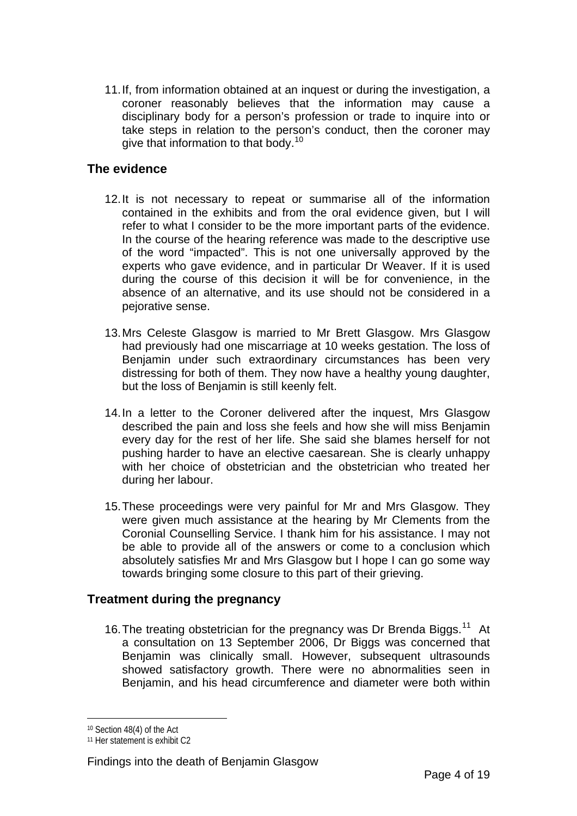11. If, from information obtained at an inquest or during the investigation, a coroner reasonably believes that the information may cause a disciplinary body for a person's profession or trade to inquire into or take steps in relation to the person's conduct, then the coroner may give that information to that body.<sup>[10](#page-3-0)</sup>

### **The evidence**

- 12. It is not necessary to repeat or summarise all of the information contained in the exhibits and from the oral evidence given, but I will refer to what I consider to be the more important parts of the evidence. In the course of the hearing reference was made to the descriptive use of the word "impacted". This is not one universally approved by the experts who gave evidence, and in particular Dr Weaver. If it is used during the course of this decision it will be for convenience, in the absence of an alternative, and its use should not be considered in a pejorative sense.
- 13. Mrs Celeste Glasgow is married to Mr Brett Glasgow. Mrs Glasgow had previously had one miscarriage at 10 weeks gestation. The loss of Benjamin under such extraordinary circumstances has been very distressing for both of them. They now have a healthy young daughter, but the loss of Benjamin is still keenly felt.
- 14. In a letter to the Coroner delivered after the inquest, Mrs Glasgow described the pain and loss she feels and how she will miss Benjamin every day for the rest of her life. She said she blames herself for not pushing harder to have an elective caesarean. She is clearly unhappy with her choice of obstetrician and the obstetrician who treated her during her labour.
- 15. These proceedings were very painful for Mr and Mrs Glasgow. They were given much assistance at the hearing by Mr Clements from the Coronial Counselling Service. I thank him for his assistance. I may not be able to provide all of the answers or come to a conclusion which absolutely satisfies Mr and Mrs Glasgow but I hope I can go some way towards bringing some closure to this part of their grieving.

#### **Treatment during the pregnancy**

16. The treating obstetrician for the pregnancy was Dr Brenda Biggs.<sup>[11](#page-3-1)</sup> At a consultation on 13 September 2006, Dr Biggs was concerned that Benjamin was clinically small. However, subsequent ultrasounds showed satisfactory growth. There were no abnormalities seen in Benjamin, and his head circumference and diameter were both within

<span id="page-3-0"></span><sup>10</sup> Section 48(4) of the Act

<span id="page-3-1"></span><sup>11</sup> Her statement is exhibit C2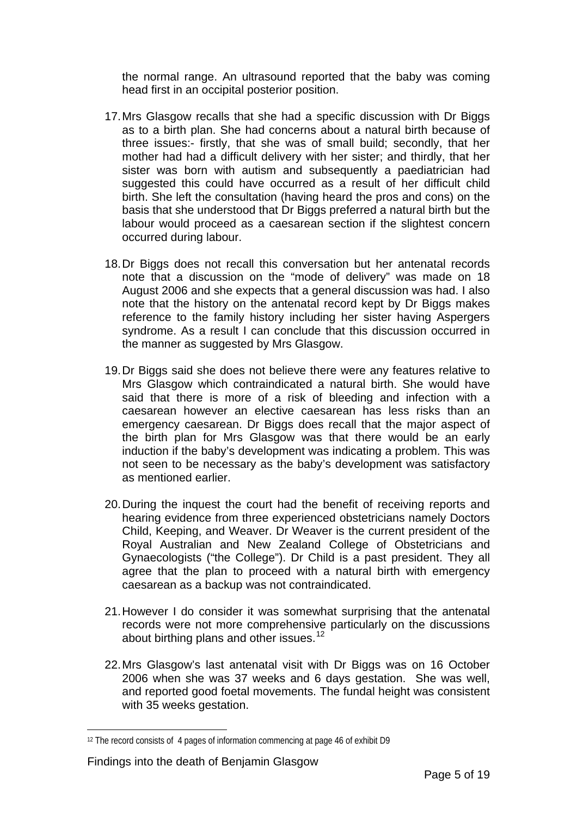the normal range. An ultrasound reported that the baby was coming head first in an occipital posterior position.

- 17. Mrs Glasgow recalls that she had a specific discussion with Dr Biggs as to a birth plan. She had concerns about a natural birth because of three issues:- firstly, that she was of small build; secondly, that her mother had had a difficult delivery with her sister; and thirdly, that her sister was born with autism and subsequently a paediatrician had suggested this could have occurred as a result of her difficult child birth. She left the consultation (having heard the pros and cons) on the basis that she understood that Dr Biggs preferred a natural birth but the labour would proceed as a caesarean section if the slightest concern occurred during labour.
- 18. Dr Biggs does not recall this conversation but her antenatal records note that a discussion on the "mode of delivery" was made on 18 August 2006 and she expects that a general discussion was had. I also note that the history on the antenatal record kept by Dr Biggs makes reference to the family history including her sister having Aspergers syndrome. As a result I can conclude that this discussion occurred in the manner as suggested by Mrs Glasgow.
- 19. Dr Biggs said she does not believe there were any features relative to Mrs Glasgow which contraindicated a natural birth. She would have said that there is more of a risk of bleeding and infection with a caesarean however an elective caesarean has less risks than an emergency caesarean. Dr Biggs does recall that the major aspect of the birth plan for Mrs Glasgow was that there would be an early induction if the baby's development was indicating a problem. This was not seen to be necessary as the baby's development was satisfactory as mentioned earlier.
- 20. During the inquest the court had the benefit of receiving reports and hearing evidence from three experienced obstetricians namely Doctors Child, Keeping, and Weaver. Dr Weaver is the current president of the Royal Australian and New Zealand College of Obstetricians and Gynaecologists ("the College"). Dr Child is a past president. They all agree that the plan to proceed with a natural birth with emergency caesarean as a backup was not contraindicated.
- 21. However I do consider it was somewhat surprising that the antenatal records were not more comprehensive particularly on the discussions about birthing plans and other issues.<sup>[12](#page-4-0)</sup>
- 22. Mrs Glasgow's last antenatal visit with Dr Biggs was on 16 October 2006 when she was 37 weeks and 6 days gestation. She was well, and reported good foetal movements. The fundal height was consistent with 35 weeks gestation.

<span id="page-4-0"></span><sup>&</sup>lt;sup>12</sup> The record consists of 4 pages of information commencing at page 46 of exhibit D9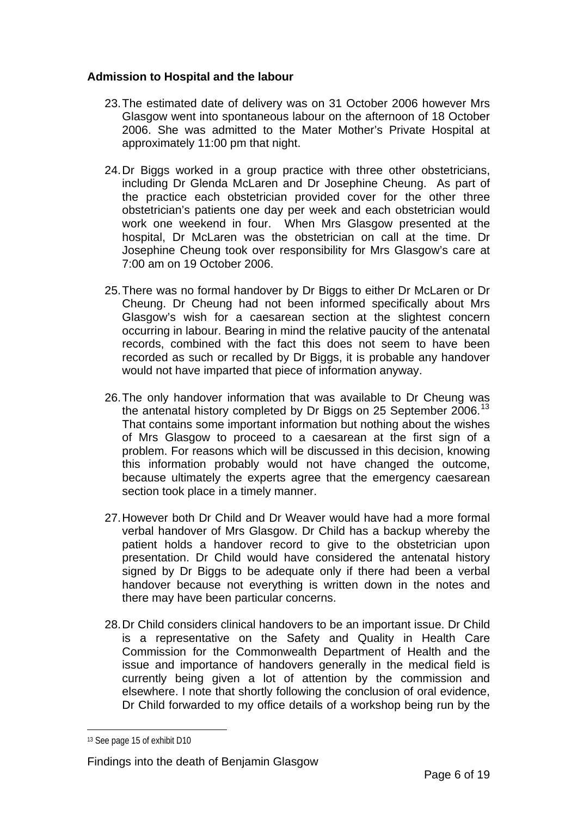#### **Admission to Hospital and the labour**

- 23. The estimated date of delivery was on 31 October 2006 however Mrs Glasgow went into spontaneous labour on the afternoon of 18 October 2006. She was admitted to the Mater Mother's Private Hospital at approximately 11:00 pm that night.
- 24. Dr Biggs worked in a group practice with three other obstetricians, including Dr Glenda McLaren and Dr Josephine Cheung. As part of the practice each obstetrician provided cover for the other three obstetrician's patients one day per week and each obstetrician would work one weekend in four. When Mrs Glasgow presented at the hospital, Dr McLaren was the obstetrician on call at the time. Dr Josephine Cheung took over responsibility for Mrs Glasgow's care at 7:00 am on 19 October 2006.
- 25. There was no formal handover by Dr Biggs to either Dr McLaren or Dr Cheung. Dr Cheung had not been informed specifically about Mrs Glasgow's wish for a caesarean section at the slightest concern occurring in labour. Bearing in mind the relative paucity of the antenatal records, combined with the fact this does not seem to have been recorded as such or recalled by Dr Biggs, it is probable any handover would not have imparted that piece of information anyway.
- 26. The only handover information that was available to Dr Cheung was the antenatal history completed by Dr Biggs on 25 September 2006.<sup>[13](#page-5-0)</sup> That contains some important information but nothing about the wishes of Mrs Glasgow to proceed to a caesarean at the first sign of a problem. For reasons which will be discussed in this decision, knowing this information probably would not have changed the outcome, because ultimately the experts agree that the emergency caesarean section took place in a timely manner.
- 27. However both Dr Child and Dr Weaver would have had a more formal verbal handover of Mrs Glasgow. Dr Child has a backup whereby the patient holds a handover record to give to the obstetrician upon presentation. Dr Child would have considered the antenatal history signed by Dr Biggs to be adequate only if there had been a verbal handover because not everything is written down in the notes and there may have been particular concerns.
- 28. Dr Child considers clinical handovers to be an important issue. Dr Child is a representative on the Safety and Quality in Health Care Commission for the Commonwealth Department of Health and the issue and importance of handovers generally in the medical field is currently being given a lot of attention by the commission and elsewhere. I note that shortly following the conclusion of oral evidence, Dr Child forwarded to my office details of a workshop being run by the

<span id="page-5-0"></span><sup>13</sup> See page 15 of exhibit D10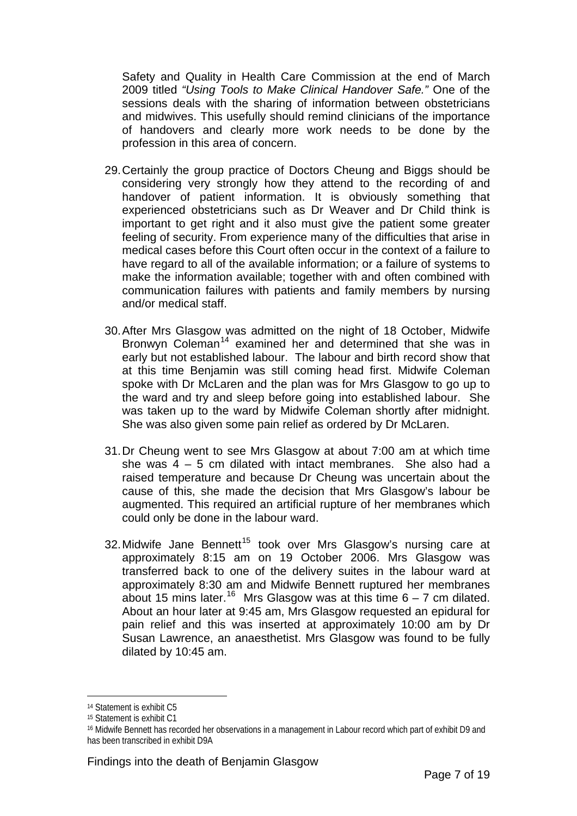Safety and Quality in Health Care Commission at the end of March 2009 titled *"Using Tools to Make Clinical Handover Safe."* One of the sessions deals with the sharing of information between obstetricians and midwives. This usefully should remind clinicians of the importance of handovers and clearly more work needs to be done by the profession in this area of concern.

- 29. Certainly the group practice of Doctors Cheung and Biggs should be considering very strongly how they attend to the recording of and handover of patient information. It is obviously something that experienced obstetricians such as Dr Weaver and Dr Child think is important to get right and it also must give the patient some greater feeling of security. From experience many of the difficulties that arise in medical cases before this Court often occur in the context of a failure to have regard to all of the available information; or a failure of systems to make the information available; together with and often combined with communication failures with patients and family members by nursing and/or medical staff.
- 30. After Mrs Glasgow was admitted on the night of 18 October, Midwife Bronwyn Coleman<sup>[14](#page-6-0)</sup> examined her and determined that she was in early but not established labour. The labour and birth record show that at this time Benjamin was still coming head first. Midwife Coleman spoke with Dr McLaren and the plan was for Mrs Glasgow to go up to the ward and try and sleep before going into established labour. She was taken up to the ward by Midwife Coleman shortly after midnight. She was also given some pain relief as ordered by Dr McLaren.
- 31. Dr Cheung went to see Mrs Glasgow at about 7:00 am at which time she was 4 – 5 cm dilated with intact membranes. She also had a raised temperature and because Dr Cheung was uncertain about the cause of this, she made the decision that Mrs Glasgow's labour be augmented. This required an artificial rupture of her membranes which could only be done in the labour ward.
- 32. Midwife Jane Bennett<sup>[15](#page-6-1)</sup> took over Mrs Glasgow's nursing care at approximately 8:15 am on 19 October 2006. Mrs Glasgow was transferred back to one of the delivery suites in the labour ward at approximately 8:30 am and Midwife Bennett ruptured her membranes about 15 mins later.<sup>[16](#page-6-2)</sup> Mrs Glasgow was at this time  $6 - 7$  cm dilated. About an hour later at 9:45 am, Mrs Glasgow requested an epidural for pain relief and this was inserted at approximately 10:00 am by Dr Susan Lawrence, an anaesthetist. Mrs Glasgow was found to be fully dilated by 10:45 am.

<span id="page-6-0"></span><sup>14</sup> Statement is exhibit C5

<span id="page-6-1"></span><sup>15</sup> Statement is exhibit C1

<span id="page-6-2"></span><sup>16</sup> Midwife Bennett has recorded her observations in a management in Labour record which part of exhibit D9 and has been transcribed in exhibit D9A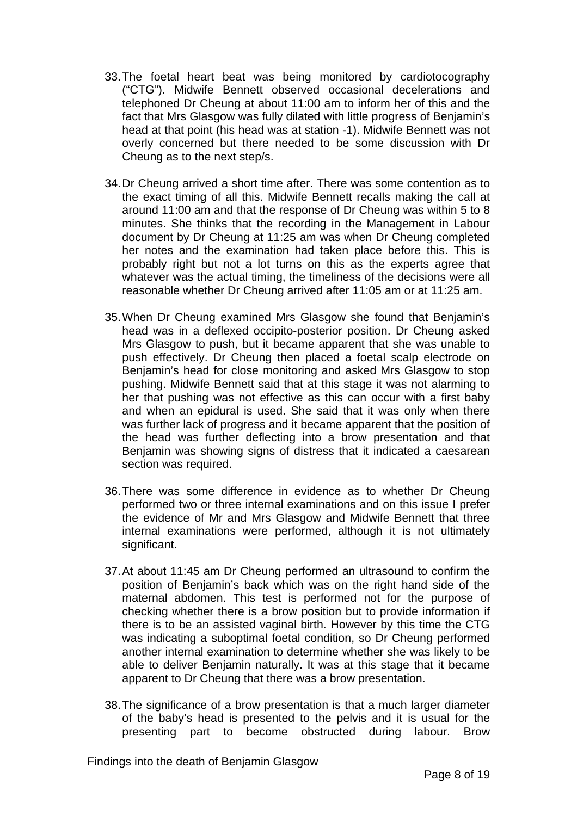- 33. The foetal heart beat was being monitored by cardiotocography ("CTG"). Midwife Bennett observed occasional decelerations and telephoned Dr Cheung at about 11:00 am to inform her of this and the fact that Mrs Glasgow was fully dilated with little progress of Benjamin's head at that point (his head was at station -1). Midwife Bennett was not overly concerned but there needed to be some discussion with Dr Cheung as to the next step/s.
- 34. Dr Cheung arrived a short time after. There was some contention as to the exact timing of all this. Midwife Bennett recalls making the call at around 11:00 am and that the response of Dr Cheung was within 5 to 8 minutes. She thinks that the recording in the Management in Labour document by Dr Cheung at 11:25 am was when Dr Cheung completed her notes and the examination had taken place before this. This is probably right but not a lot turns on this as the experts agree that whatever was the actual timing, the timeliness of the decisions were all reasonable whether Dr Cheung arrived after 11:05 am or at 11:25 am.
- 35. When Dr Cheung examined Mrs Glasgow she found that Benjamin's head was in a deflexed occipito-posterior position. Dr Cheung asked Mrs Glasgow to push, but it became apparent that she was unable to push effectively. Dr Cheung then placed a foetal scalp electrode on Benjamin's head for close monitoring and asked Mrs Glasgow to stop pushing. Midwife Bennett said that at this stage it was not alarming to her that pushing was not effective as this can occur with a first baby and when an epidural is used. She said that it was only when there was further lack of progress and it became apparent that the position of the head was further deflecting into a brow presentation and that Benjamin was showing signs of distress that it indicated a caesarean section was required.
- 36. There was some difference in evidence as to whether Dr Cheung performed two or three internal examinations and on this issue I prefer the evidence of Mr and Mrs Glasgow and Midwife Bennett that three internal examinations were performed, although it is not ultimately significant.
- 37. At about 11:45 am Dr Cheung performed an ultrasound to confirm the position of Benjamin's back which was on the right hand side of the maternal abdomen. This test is performed not for the purpose of checking whether there is a brow position but to provide information if there is to be an assisted vaginal birth. However by this time the CTG was indicating a suboptimal foetal condition, so Dr Cheung performed another internal examination to determine whether she was likely to be able to deliver Benjamin naturally. It was at this stage that it became apparent to Dr Cheung that there was a brow presentation.
- 38. The significance of a brow presentation is that a much larger diameter of the baby's head is presented to the pelvis and it is usual for the presenting part to become obstructed during labour. Brow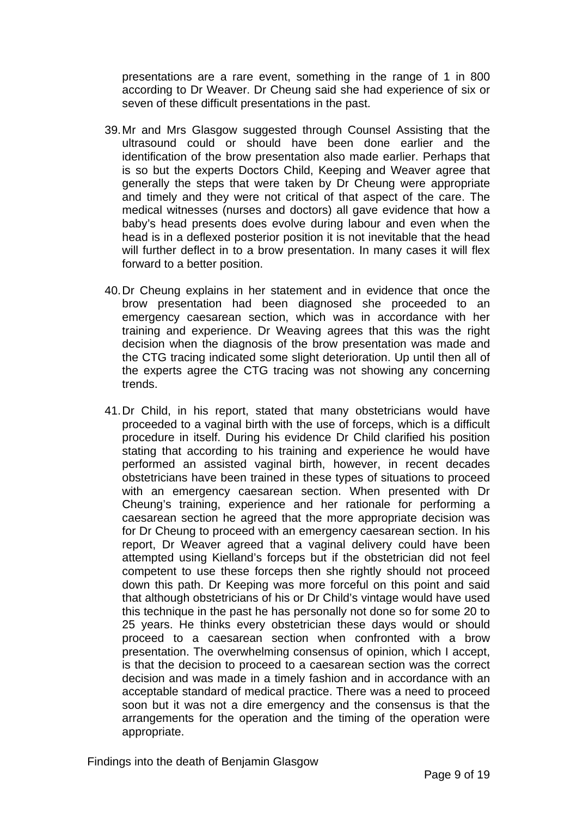presentations are a rare event, something in the range of 1 in 800 according to Dr Weaver. Dr Cheung said she had experience of six or seven of these difficult presentations in the past.

- 39. Mr and Mrs Glasgow suggested through Counsel Assisting that the ultrasound could or should have been done earlier and the identification of the brow presentation also made earlier. Perhaps that is so but the experts Doctors Child, Keeping and Weaver agree that generally the steps that were taken by Dr Cheung were appropriate and timely and they were not critical of that aspect of the care. The medical witnesses (nurses and doctors) all gave evidence that how a baby's head presents does evolve during labour and even when the head is in a deflexed posterior position it is not inevitable that the head will further deflect in to a brow presentation. In many cases it will flex forward to a better position.
- 40. Dr Cheung explains in her statement and in evidence that once the brow presentation had been diagnosed she proceeded to an emergency caesarean section, which was in accordance with her training and experience. Dr Weaving agrees that this was the right decision when the diagnosis of the brow presentation was made and the CTG tracing indicated some slight deterioration. Up until then all of the experts agree the CTG tracing was not showing any concerning trends.
- 41. Dr Child, in his report, stated that many obstetricians would have proceeded to a vaginal birth with the use of forceps, which is a difficult procedure in itself. During his evidence Dr Child clarified his position stating that according to his training and experience he would have performed an assisted vaginal birth, however, in recent decades obstetricians have been trained in these types of situations to proceed with an emergency caesarean section. When presented with Dr Cheung's training, experience and her rationale for performing a caesarean section he agreed that the more appropriate decision was for Dr Cheung to proceed with an emergency caesarean section. In his report, Dr Weaver agreed that a vaginal delivery could have been attempted using Kielland's forceps but if the obstetrician did not feel competent to use these forceps then she rightly should not proceed down this path. Dr Keeping was more forceful on this point and said that although obstetricians of his or Dr Child's vintage would have used this technique in the past he has personally not done so for some 20 to 25 years. He thinks every obstetrician these days would or should proceed to a caesarean section when confronted with a brow presentation. The overwhelming consensus of opinion, which I accept, is that the decision to proceed to a caesarean section was the correct decision and was made in a timely fashion and in accordance with an acceptable standard of medical practice. There was a need to proceed soon but it was not a dire emergency and the consensus is that the arrangements for the operation and the timing of the operation were appropriate.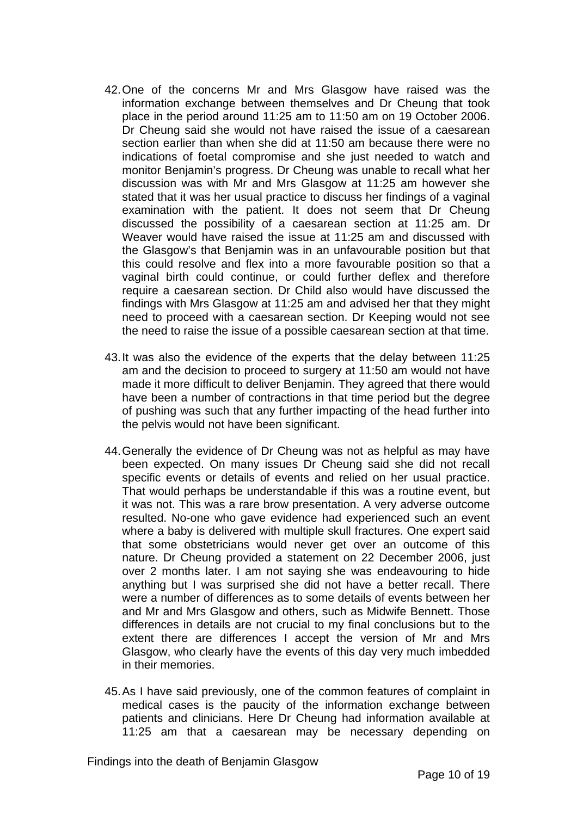- 42. One of the concerns Mr and Mrs Glasgow have raised was the information exchange between themselves and Dr Cheung that took place in the period around 11:25 am to 11:50 am on 19 October 2006. Dr Cheung said she would not have raised the issue of a caesarean section earlier than when she did at 11:50 am because there were no indications of foetal compromise and she just needed to watch and monitor Benjamin's progress. Dr Cheung was unable to recall what her discussion was with Mr and Mrs Glasgow at 11:25 am however she stated that it was her usual practice to discuss her findings of a vaginal examination with the patient. It does not seem that Dr Cheung discussed the possibility of a caesarean section at 11:25 am. Dr Weaver would have raised the issue at 11:25 am and discussed with the Glasgow's that Benjamin was in an unfavourable position but that this could resolve and flex into a more favourable position so that a vaginal birth could continue, or could further deflex and therefore require a caesarean section. Dr Child also would have discussed the findings with Mrs Glasgow at 11:25 am and advised her that they might need to proceed with a caesarean section. Dr Keeping would not see the need to raise the issue of a possible caesarean section at that time.
- 43. It was also the evidence of the experts that the delay between 11:25 am and the decision to proceed to surgery at 11:50 am would not have made it more difficult to deliver Benjamin. They agreed that there would have been a number of contractions in that time period but the degree of pushing was such that any further impacting of the head further into the pelvis would not have been significant.
- 44. Generally the evidence of Dr Cheung was not as helpful as may have been expected. On many issues Dr Cheung said she did not recall specific events or details of events and relied on her usual practice. That would perhaps be understandable if this was a routine event, but it was not. This was a rare brow presentation. A very adverse outcome resulted. No-one who gave evidence had experienced such an event where a baby is delivered with multiple skull fractures. One expert said that some obstetricians would never get over an outcome of this nature. Dr Cheung provided a statement on 22 December 2006, just over 2 months later. I am not saying she was endeavouring to hide anything but I was surprised she did not have a better recall. There were a number of differences as to some details of events between her and Mr and Mrs Glasgow and others, such as Midwife Bennett. Those differences in details are not crucial to my final conclusions but to the extent there are differences I accept the version of Mr and Mrs Glasgow, who clearly have the events of this day very much imbedded in their memories.
- 45. As I have said previously, one of the common features of complaint in medical cases is the paucity of the information exchange between patients and clinicians. Here Dr Cheung had information available at 11:25 am that a caesarean may be necessary depending on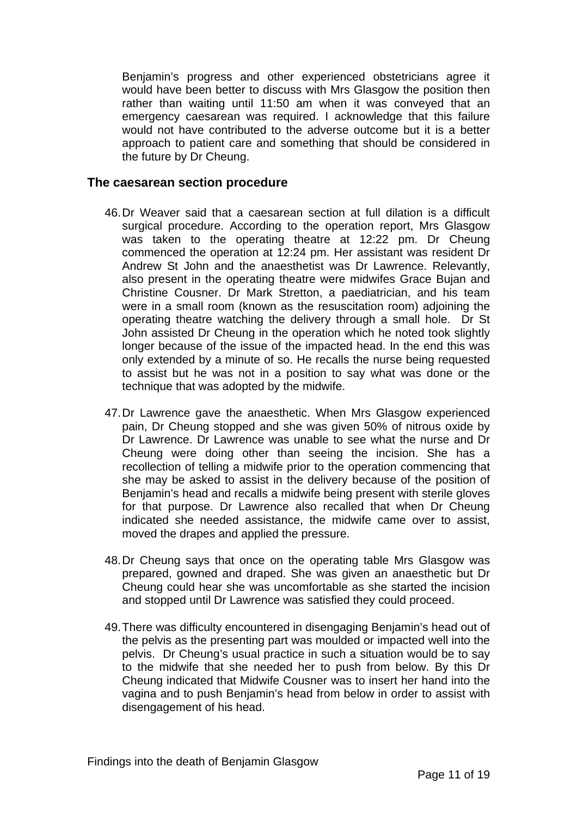Benjamin's progress and other experienced obstetricians agree it would have been better to discuss with Mrs Glasgow the position then rather than waiting until 11:50 am when it was conveyed that an emergency caesarean was required. I acknowledge that this failure would not have contributed to the adverse outcome but it is a better approach to patient care and something that should be considered in the future by Dr Cheung.

#### **The caesarean section procedure**

- 46. Dr Weaver said that a caesarean section at full dilation is a difficult surgical procedure. According to the operation report, Mrs Glasgow was taken to the operating theatre at 12:22 pm. Dr Cheung commenced the operation at 12:24 pm. Her assistant was resident Dr Andrew St John and the anaesthetist was Dr Lawrence. Relevantly, also present in the operating theatre were midwifes Grace Bujan and Christine Cousner. Dr Mark Stretton, a paediatrician, and his team were in a small room (known as the resuscitation room) adjoining the operating theatre watching the delivery through a small hole. Dr St John assisted Dr Cheung in the operation which he noted took slightly longer because of the issue of the impacted head. In the end this was only extended by a minute of so. He recalls the nurse being requested to assist but he was not in a position to say what was done or the technique that was adopted by the midwife.
- 47. Dr Lawrence gave the anaesthetic. When Mrs Glasgow experienced pain, Dr Cheung stopped and she was given 50% of nitrous oxide by Dr Lawrence. Dr Lawrence was unable to see what the nurse and Dr Cheung were doing other than seeing the incision. She has a recollection of telling a midwife prior to the operation commencing that she may be asked to assist in the delivery because of the position of Benjamin's head and recalls a midwife being present with sterile gloves for that purpose. Dr Lawrence also recalled that when Dr Cheung indicated she needed assistance, the midwife came over to assist, moved the drapes and applied the pressure.
- 48. Dr Cheung says that once on the operating table Mrs Glasgow was prepared, gowned and draped. She was given an anaesthetic but Dr Cheung could hear she was uncomfortable as she started the incision and stopped until Dr Lawrence was satisfied they could proceed.
- 49. There was difficulty encountered in disengaging Benjamin's head out of the pelvis as the presenting part was moulded or impacted well into the pelvis. Dr Cheung's usual practice in such a situation would be to say to the midwife that she needed her to push from below. By this Dr Cheung indicated that Midwife Cousner was to insert her hand into the vagina and to push Benjamin's head from below in order to assist with disengagement of his head.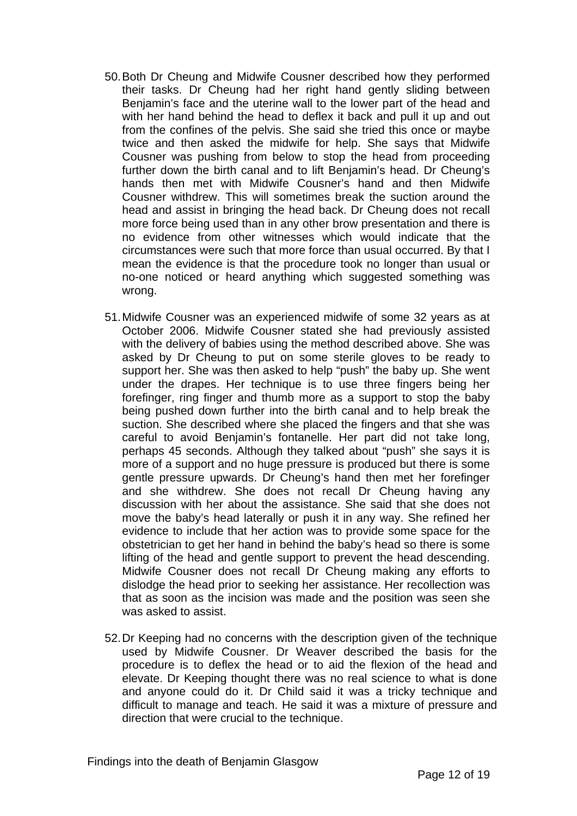- 50. Both Dr Cheung and Midwife Cousner described how they performed their tasks. Dr Cheung had her right hand gently sliding between Benjamin's face and the uterine wall to the lower part of the head and with her hand behind the head to deflex it back and pull it up and out from the confines of the pelvis. She said she tried this once or maybe twice and then asked the midwife for help. She says that Midwife Cousner was pushing from below to stop the head from proceeding further down the birth canal and to lift Benjamin's head. Dr Cheung's hands then met with Midwife Cousner's hand and then Midwife Cousner withdrew. This will sometimes break the suction around the head and assist in bringing the head back. Dr Cheung does not recall more force being used than in any other brow presentation and there is no evidence from other witnesses which would indicate that the circumstances were such that more force than usual occurred. By that I mean the evidence is that the procedure took no longer than usual or no-one noticed or heard anything which suggested something was wrong.
- 51. Midwife Cousner was an experienced midwife of some 32 years as at October 2006. Midwife Cousner stated she had previously assisted with the delivery of babies using the method described above. She was asked by Dr Cheung to put on some sterile gloves to be ready to support her. She was then asked to help "push" the baby up. She went under the drapes. Her technique is to use three fingers being her forefinger, ring finger and thumb more as a support to stop the baby being pushed down further into the birth canal and to help break the suction. She described where she placed the fingers and that she was careful to avoid Benjamin's fontanelle. Her part did not take long, perhaps 45 seconds. Although they talked about "push" she says it is more of a support and no huge pressure is produced but there is some gentle pressure upwards. Dr Cheung's hand then met her forefinger and she withdrew. She does not recall Dr Cheung having any discussion with her about the assistance. She said that she does not move the baby's head laterally or push it in any way. She refined her evidence to include that her action was to provide some space for the obstetrician to get her hand in behind the baby's head so there is some lifting of the head and gentle support to prevent the head descending. Midwife Cousner does not recall Dr Cheung making any efforts to dislodge the head prior to seeking her assistance. Her recollection was that as soon as the incision was made and the position was seen she was asked to assist.
- 52. Dr Keeping had no concerns with the description given of the technique used by Midwife Cousner. Dr Weaver described the basis for the procedure is to deflex the head or to aid the flexion of the head and elevate. Dr Keeping thought there was no real science to what is done and anyone could do it. Dr Child said it was a tricky technique and difficult to manage and teach. He said it was a mixture of pressure and direction that were crucial to the technique.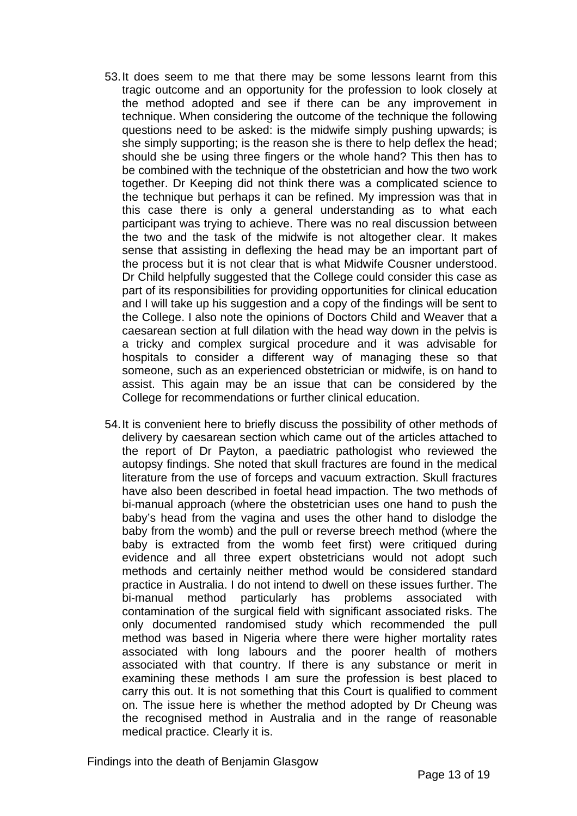- 53. It does seem to me that there may be some lessons learnt from this tragic outcome and an opportunity for the profession to look closely at the method adopted and see if there can be any improvement in technique. When considering the outcome of the technique the following questions need to be asked: is the midwife simply pushing upwards; is she simply supporting; is the reason she is there to help deflex the head; should she be using three fingers or the whole hand? This then has to be combined with the technique of the obstetrician and how the two work together. Dr Keeping did not think there was a complicated science to the technique but perhaps it can be refined. My impression was that in this case there is only a general understanding as to what each participant was trying to achieve. There was no real discussion between the two and the task of the midwife is not altogether clear. It makes sense that assisting in deflexing the head may be an important part of the process but it is not clear that is what Midwife Cousner understood. Dr Child helpfully suggested that the College could consider this case as part of its responsibilities for providing opportunities for clinical education and I will take up his suggestion and a copy of the findings will be sent to the College. I also note the opinions of Doctors Child and Weaver that a caesarean section at full dilation with the head way down in the pelvis is a tricky and complex surgical procedure and it was advisable for hospitals to consider a different way of managing these so that someone, such as an experienced obstetrician or midwife, is on hand to assist. This again may be an issue that can be considered by the College for recommendations or further clinical education.
- 54. It is convenient here to briefly discuss the possibility of other methods of delivery by caesarean section which came out of the articles attached to the report of Dr Payton, a paediatric pathologist who reviewed the autopsy findings. She noted that skull fractures are found in the medical literature from the use of forceps and vacuum extraction. Skull fractures have also been described in foetal head impaction. The two methods of bi-manual approach (where the obstetrician uses one hand to push the baby's head from the vagina and uses the other hand to dislodge the baby from the womb) and the pull or reverse breech method (where the baby is extracted from the womb feet first) were critiqued during evidence and all three expert obstetricians would not adopt such methods and certainly neither method would be considered standard practice in Australia. I do not intend to dwell on these issues further. The bi-manual method particularly has problems associated with contamination of the surgical field with significant associated risks. The only documented randomised study which recommended the pull method was based in Nigeria where there were higher mortality rates associated with long labours and the poorer health of mothers associated with that country. If there is any substance or merit in examining these methods I am sure the profession is best placed to carry this out. It is not something that this Court is qualified to comment on. The issue here is whether the method adopted by Dr Cheung was the recognised method in Australia and in the range of reasonable medical practice. Clearly it is.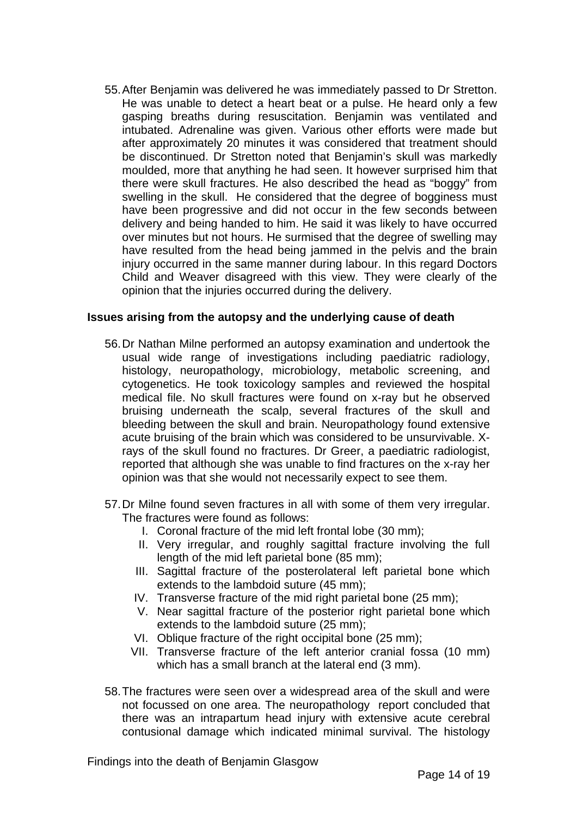55. After Benjamin was delivered he was immediately passed to Dr Stretton. He was unable to detect a heart beat or a pulse. He heard only a few gasping breaths during resuscitation. Benjamin was ventilated and intubated. Adrenaline was given. Various other efforts were made but after approximately 20 minutes it was considered that treatment should be discontinued. Dr Stretton noted that Benjamin's skull was markedly moulded, more that anything he had seen. It however surprised him that there were skull fractures. He also described the head as "boggy" from swelling in the skull. He considered that the degree of bogginess must have been progressive and did not occur in the few seconds between delivery and being handed to him. He said it was likely to have occurred over minutes but not hours. He surmised that the degree of swelling may have resulted from the head being jammed in the pelvis and the brain injury occurred in the same manner during labour. In this regard Doctors Child and Weaver disagreed with this view. They were clearly of the opinion that the injuries occurred during the delivery.

#### **Issues arising from the autopsy and the underlying cause of death**

- 56. Dr Nathan Milne performed an autopsy examination and undertook the usual wide range of investigations including paediatric radiology, histology, neuropathology, microbiology, metabolic screening, and cytogenetics. He took toxicology samples and reviewed the hospital medical file. No skull fractures were found on x-ray but he observed bruising underneath the scalp, several fractures of the skull and bleeding between the skull and brain. Neuropathology found extensive acute bruising of the brain which was considered to be unsurvivable. Xrays of the skull found no fractures. Dr Greer, a paediatric radiologist, reported that although she was unable to find fractures on the x-ray her opinion was that she would not necessarily expect to see them.
- 57. Dr Milne found seven fractures in all with some of them very irregular. The fractures were found as follows:
	- I. Coronal fracture of the mid left frontal lobe (30 mm);
	- II. Very irregular, and roughly sagittal fracture involving the full length of the mid left parietal bone (85 mm);
	- III. Sagittal fracture of the posterolateral left parietal bone which extends to the lambdoid suture (45 mm);
	- IV. Transverse fracture of the mid right parietal bone (25 mm);
	- V. Near sagittal fracture of the posterior right parietal bone which extends to the lambdoid suture (25 mm);
	- VI. Oblique fracture of the right occipital bone (25 mm);
	- VII. Transverse fracture of the left anterior cranial fossa (10 mm) which has a small branch at the lateral end (3 mm).
- 58. The fractures were seen over a widespread area of the skull and were not focussed on one area. The neuropathology report concluded that there was an intrapartum head injury with extensive acute cerebral contusional damage which indicated minimal survival. The histology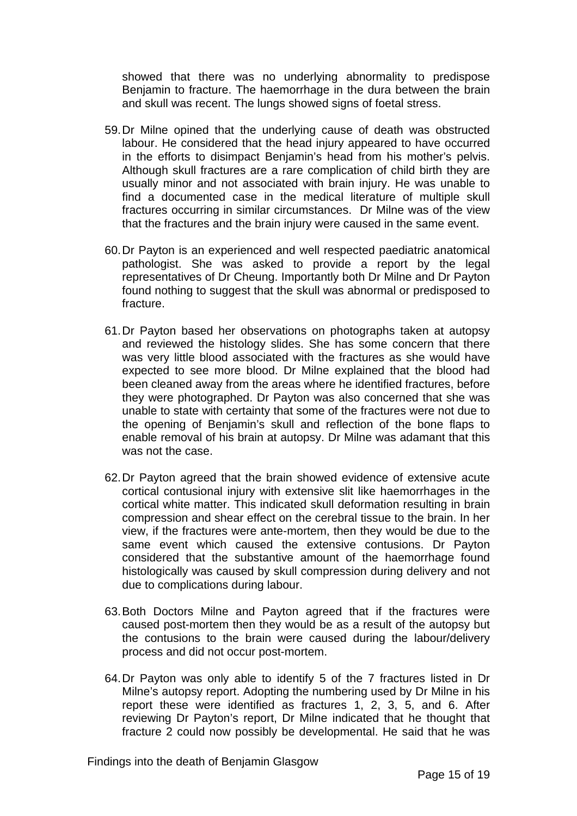showed that there was no underlying abnormality to predispose Benjamin to fracture. The haemorrhage in the dura between the brain and skull was recent. The lungs showed signs of foetal stress.

- 59. Dr Milne opined that the underlying cause of death was obstructed labour. He considered that the head injury appeared to have occurred in the efforts to disimpact Benjamin's head from his mother's pelvis. Although skull fractures are a rare complication of child birth they are usually minor and not associated with brain injury. He was unable to find a documented case in the medical literature of multiple skull fractures occurring in similar circumstances. Dr Milne was of the view that the fractures and the brain injury were caused in the same event.
- 60. Dr Payton is an experienced and well respected paediatric anatomical pathologist. She was asked to provide a report by the legal representatives of Dr Cheung. Importantly both Dr Milne and Dr Payton found nothing to suggest that the skull was abnormal or predisposed to fracture.
- 61. Dr Payton based her observations on photographs taken at autopsy and reviewed the histology slides. She has some concern that there was very little blood associated with the fractures as she would have expected to see more blood. Dr Milne explained that the blood had been cleaned away from the areas where he identified fractures, before they were photographed. Dr Payton was also concerned that she was unable to state with certainty that some of the fractures were not due to the opening of Benjamin's skull and reflection of the bone flaps to enable removal of his brain at autopsy. Dr Milne was adamant that this was not the case.
- 62. Dr Payton agreed that the brain showed evidence of extensive acute cortical contusional injury with extensive slit like haemorrhages in the cortical white matter. This indicated skull deformation resulting in brain compression and shear effect on the cerebral tissue to the brain. In her view, if the fractures were ante-mortem, then they would be due to the same event which caused the extensive contusions. Dr Payton considered that the substantive amount of the haemorrhage found histologically was caused by skull compression during delivery and not due to complications during labour.
- 63. Both Doctors Milne and Payton agreed that if the fractures were caused post-mortem then they would be as a result of the autopsy but the contusions to the brain were caused during the labour/delivery process and did not occur post-mortem.
- 64. Dr Payton was only able to identify 5 of the 7 fractures listed in Dr Milne's autopsy report. Adopting the numbering used by Dr Milne in his report these were identified as fractures 1, 2, 3, 5, and 6. After reviewing Dr Payton's report, Dr Milne indicated that he thought that fracture 2 could now possibly be developmental. He said that he was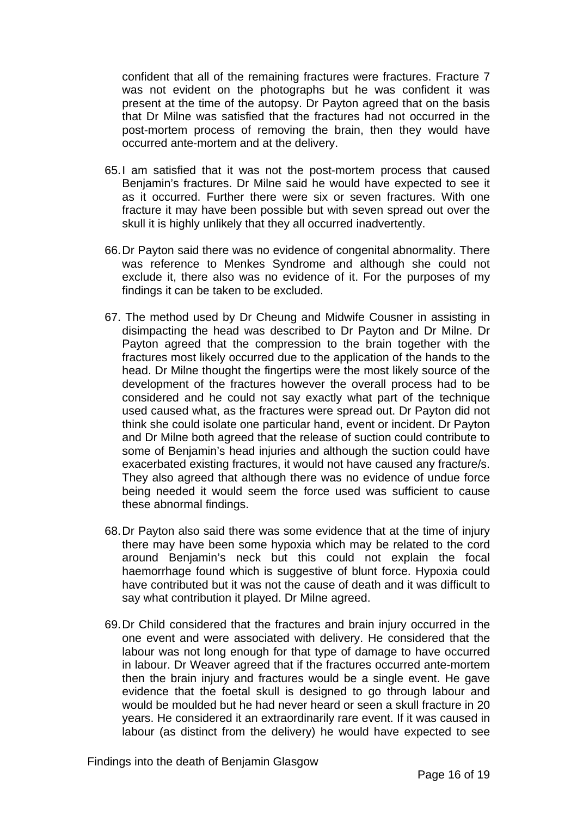confident that all of the remaining fractures were fractures. Fracture 7 was not evident on the photographs but he was confident it was present at the time of the autopsy. Dr Payton agreed that on the basis that Dr Milne was satisfied that the fractures had not occurred in the post-mortem process of removing the brain, then they would have occurred ante-mortem and at the delivery.

- 65. I am satisfied that it was not the post-mortem process that caused Benjamin's fractures. Dr Milne said he would have expected to see it as it occurred. Further there were six or seven fractures. With one fracture it may have been possible but with seven spread out over the skull it is highly unlikely that they all occurred inadvertently.
- 66. Dr Payton said there was no evidence of congenital abnormality. There was reference to Menkes Syndrome and although she could not exclude it, there also was no evidence of it. For the purposes of my findings it can be taken to be excluded.
- 67. The method used by Dr Cheung and Midwife Cousner in assisting in disimpacting the head was described to Dr Payton and Dr Milne. Dr Payton agreed that the compression to the brain together with the fractures most likely occurred due to the application of the hands to the head. Dr Milne thought the fingertips were the most likely source of the development of the fractures however the overall process had to be considered and he could not say exactly what part of the technique used caused what, as the fractures were spread out. Dr Payton did not think she could isolate one particular hand, event or incident. Dr Payton and Dr Milne both agreed that the release of suction could contribute to some of Benjamin's head injuries and although the suction could have exacerbated existing fractures, it would not have caused any fracture/s. They also agreed that although there was no evidence of undue force being needed it would seem the force used was sufficient to cause these abnormal findings.
- 68. Dr Payton also said there was some evidence that at the time of injury there may have been some hypoxia which may be related to the cord around Benjamin's neck but this could not explain the focal haemorrhage found which is suggestive of blunt force. Hypoxia could have contributed but it was not the cause of death and it was difficult to say what contribution it played. Dr Milne agreed.
- 69. Dr Child considered that the fractures and brain injury occurred in the one event and were associated with delivery. He considered that the labour was not long enough for that type of damage to have occurred in labour. Dr Weaver agreed that if the fractures occurred ante-mortem then the brain injury and fractures would be a single event. He gave evidence that the foetal skull is designed to go through labour and would be moulded but he had never heard or seen a skull fracture in 20 years. He considered it an extraordinarily rare event. If it was caused in labour (as distinct from the delivery) he would have expected to see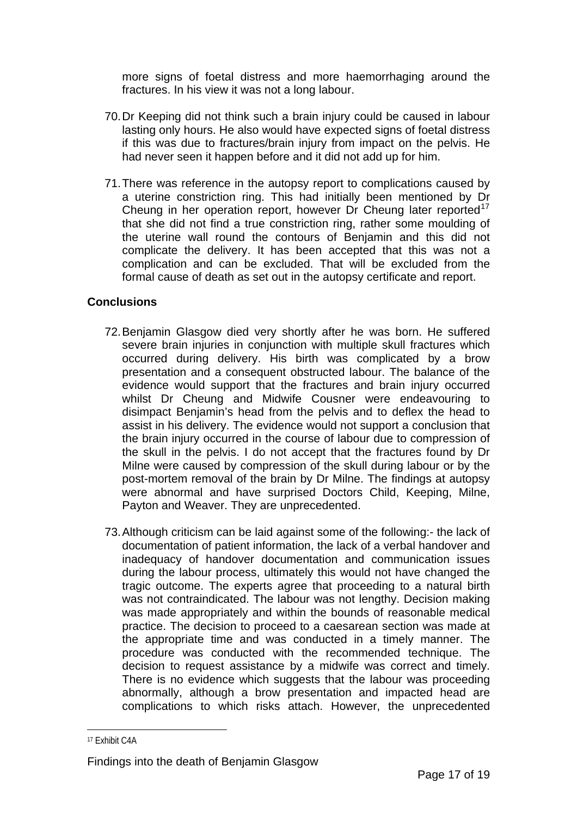more signs of foetal distress and more haemorrhaging around the fractures. In his view it was not a long labour.

- 70. Dr Keeping did not think such a brain injury could be caused in labour lasting only hours. He also would have expected signs of foetal distress if this was due to fractures/brain injury from impact on the pelvis. He had never seen it happen before and it did not add up for him.
- 71. There was reference in the autopsy report to complications caused by a uterine constriction ring. This had initially been mentioned by Dr Cheung in her operation report, however Dr Cheung later reported<sup>[17](#page-16-0)</sup> that she did not find a true constriction ring, rather some moulding of the uterine wall round the contours of Benjamin and this did not complicate the delivery. It has been accepted that this was not a complication and can be excluded. That will be excluded from the formal cause of death as set out in the autopsy certificate and report.

#### **Conclusions**

- 72. Benjamin Glasgow died very shortly after he was born. He suffered severe brain injuries in conjunction with multiple skull fractures which occurred during delivery. His birth was complicated by a brow presentation and a consequent obstructed labour. The balance of the evidence would support that the fractures and brain injury occurred whilst Dr Cheung and Midwife Cousner were endeavouring to disimpact Benjamin's head from the pelvis and to deflex the head to assist in his delivery. The evidence would not support a conclusion that the brain injury occurred in the course of labour due to compression of the skull in the pelvis. I do not accept that the fractures found by Dr Milne were caused by compression of the skull during labour or by the post-mortem removal of the brain by Dr Milne. The findings at autopsy were abnormal and have surprised Doctors Child, Keeping, Milne, Payton and Weaver. They are unprecedented.
- 73. Although criticism can be laid against some of the following:- the lack of documentation of patient information, the lack of a verbal handover and inadequacy of handover documentation and communication issues during the labour process, ultimately this would not have changed the tragic outcome. The experts agree that proceeding to a natural birth was not contraindicated. The labour was not lengthy. Decision making was made appropriately and within the bounds of reasonable medical practice. The decision to proceed to a caesarean section was made at the appropriate time and was conducted in a timely manner. The procedure was conducted with the recommended technique. The decision to request assistance by a midwife was correct and timely. There is no evidence which suggests that the labour was proceeding abnormally, although a brow presentation and impacted head are complications to which risks attach. However, the unprecedented

<span id="page-16-0"></span><sup>17</sup> Exhibit C4A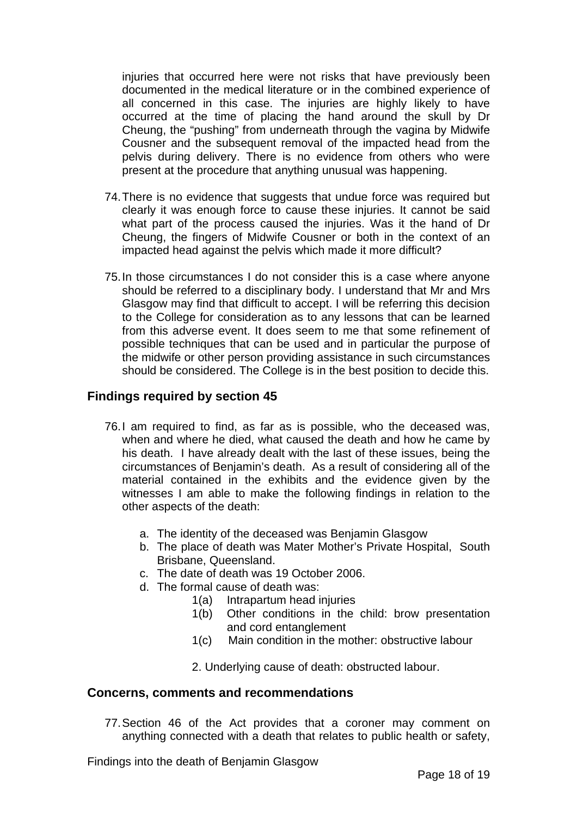injuries that occurred here were not risks that have previously been documented in the medical literature or in the combined experience of all concerned in this case. The injuries are highly likely to have occurred at the time of placing the hand around the skull by Dr Cheung, the "pushing" from underneath through the vagina by Midwife Cousner and the subsequent removal of the impacted head from the pelvis during delivery. There is no evidence from others who were present at the procedure that anything unusual was happening.

- 74. There is no evidence that suggests that undue force was required but clearly it was enough force to cause these injuries. It cannot be said what part of the process caused the injuries. Was it the hand of Dr Cheung, the fingers of Midwife Cousner or both in the context of an impacted head against the pelvis which made it more difficult?
- 75. In those circumstances I do not consider this is a case where anyone should be referred to a disciplinary body. I understand that Mr and Mrs Glasgow may find that difficult to accept. I will be referring this decision to the College for consideration as to any lessons that can be learned from this adverse event. It does seem to me that some refinement of possible techniques that can be used and in particular the purpose of the midwife or other person providing assistance in such circumstances should be considered. The College is in the best position to decide this.

#### **Findings required by section 45**

- 76. I am required to find, as far as is possible, who the deceased was, when and where he died, what caused the death and how he came by his death. I have already dealt with the last of these issues, being the circumstances of Benjamin's death. As a result of considering all of the material contained in the exhibits and the evidence given by the witnesses I am able to make the following findings in relation to the other aspects of the death:
	- a. The identity of the deceased was Benjamin Glasgow
	- b. The place of death was Mater Mother's Private Hospital, South Brisbane, Queensland.
	- c. The date of death was 19 October 2006.
	- d. The formal cause of death was:
		- 1(a) Intrapartum head injuries
		- 1(b) Other conditions in the child: brow presentation and cord entanglement
		- 1(c) Main condition in the mother: obstructive labour
		- 2. Underlying cause of death: obstructed labour.

#### **Concerns, comments and recommendations**

77. Section 46 of the Act provides that a coroner may comment on anything connected with a death that relates to public health or safety,